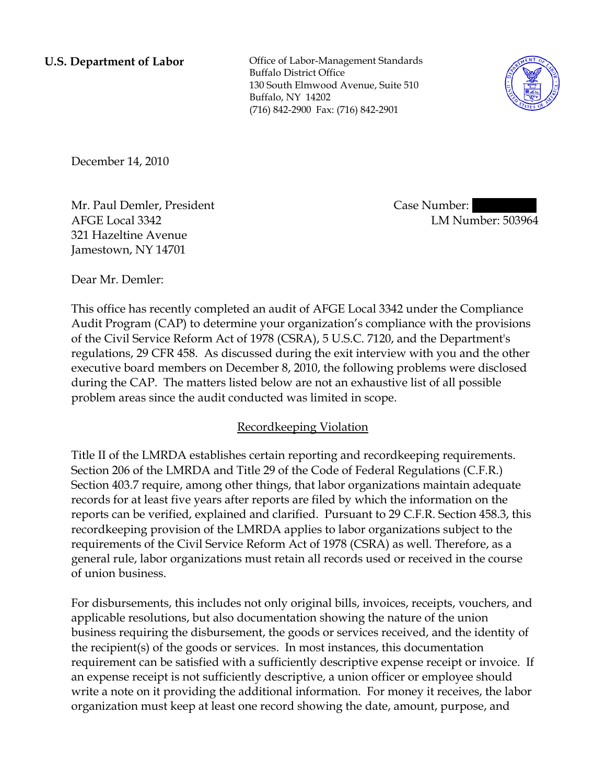**U.S. Department of Labor Conservative Conservative Conservative Conservative Conservative Conservative Conservative Conservative Conservative Conservative Conservative Conservative Conservative Conservative Conservative** Buffalo District Office 130 South Elmwood Avenue, Suite 510 Buffalo, NY 14202 (716) 842-2900 Fax: (716) 842-2901



December 14, 2010

Mr. Paul Demler, President AFGE Local 3342 321 Hazeltine Avenue Jamestown, NY 14701

Case Number: LM Number: 503964

Dear Mr. Demler:

This office has recently completed an audit of AFGE Local 3342 under the Compliance Audit Program (CAP) to determine your organization's compliance with the provisions of the Civil Service Reform Act of 1978 (CSRA), 5 U.S.C. 7120, and the Department's regulations, 29 CFR 458. As discussed during the exit interview with you and the other executive board members on December 8, 2010, the following problems were disclosed during the CAP. The matters listed below are not an exhaustive list of all possible problem areas since the audit conducted was limited in scope.

## Recordkeeping Violation

Title II of the LMRDA establishes certain reporting and recordkeeping requirements. Section 206 of the LMRDA and Title 29 of the Code of Federal Regulations (C.F.R.) Section 403.7 require, among other things, that labor organizations maintain adequate records for at least five years after reports are filed by which the information on the reports can be verified, explained and clarified. Pursuant to 29 C.F.R. Section 458.3, this recordkeeping provision of the LMRDA applies to labor organizations subject to the requirements of the Civil Service Reform Act of 1978 (CSRA) as well. Therefore, as a general rule, labor organizations must retain all records used or received in the course of union business.

For disbursements, this includes not only original bills, invoices, receipts, vouchers, and applicable resolutions, but also documentation showing the nature of the union business requiring the disbursement, the goods or services received, and the identity of the recipient(s) of the goods or services. In most instances, this documentation requirement can be satisfied with a sufficiently descriptive expense receipt or invoice. If an expense receipt is not sufficiently descriptive, a union officer or employee should write a note on it providing the additional information. For money it receives, the labor organization must keep at least one record showing the date, amount, purpose, and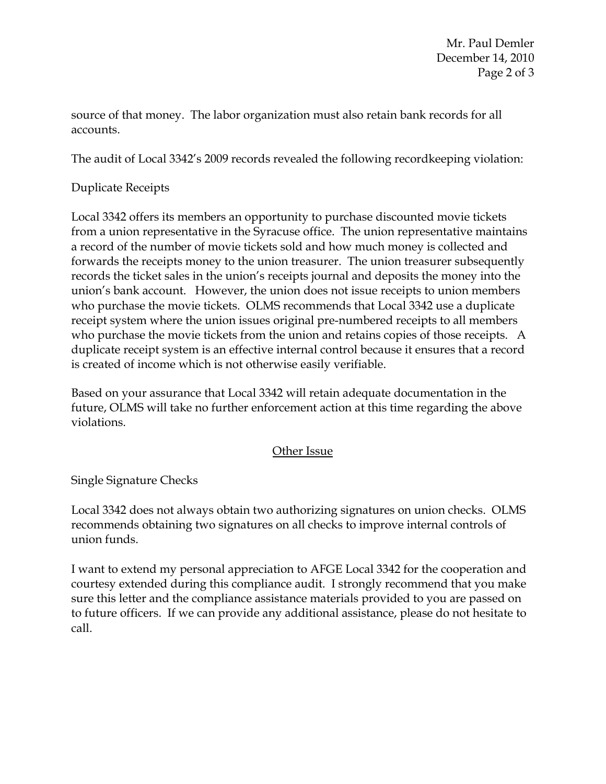Mr. Paul Demler December 14, 2010 Page 2 of 3

source of that money. The labor organization must also retain bank records for all accounts.

The audit of Local 3342's 2009 records revealed the following recordkeeping violation:

## Duplicate Receipts

Local 3342 offers its members an opportunity to purchase discounted movie tickets from a union representative in the Syracuse office. The union representative maintains a record of the number of movie tickets sold and how much money is collected and forwards the receipts money to the union treasurer. The union treasurer subsequently records the ticket sales in the union's receipts journal and deposits the money into the union's bank account. However, the union does not issue receipts to union members who purchase the movie tickets. OLMS recommends that Local 3342 use a duplicate receipt system where the union issues original pre-numbered receipts to all members who purchase the movie tickets from the union and retains copies of those receipts. A duplicate receipt system is an effective internal control because it ensures that a record is created of income which is not otherwise easily verifiable.

Based on your assurance that Local 3342 will retain adequate documentation in the future, OLMS will take no further enforcement action at this time regarding the above violations.

## Other Issue

Single Signature Checks

Local 3342 does not always obtain two authorizing signatures on union checks. OLMS recommends obtaining two signatures on all checks to improve internal controls of union funds.

I want to extend my personal appreciation to AFGE Local 3342 for the cooperation and courtesy extended during this compliance audit. I strongly recommend that you make sure this letter and the compliance assistance materials provided to you are passed on to future officers. If we can provide any additional assistance, please do not hesitate to call.